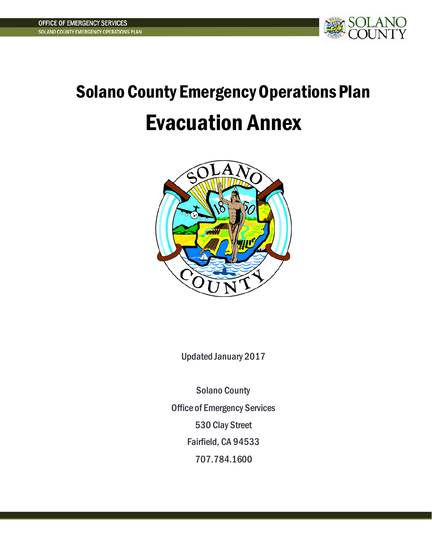

# Solano County Emergency Operations Plan Evacuation Annex



Updated January 2017

Solano County Office of Emergency Services 530 Clay Street Fairfield, CA 94533 707.784.1600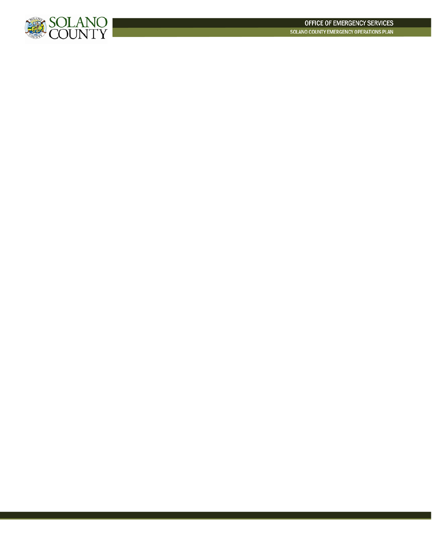

OFFICE OF EMERGENCY SERVICES SOLANO COUNTY EMERGENCY OPERATIONS PLAN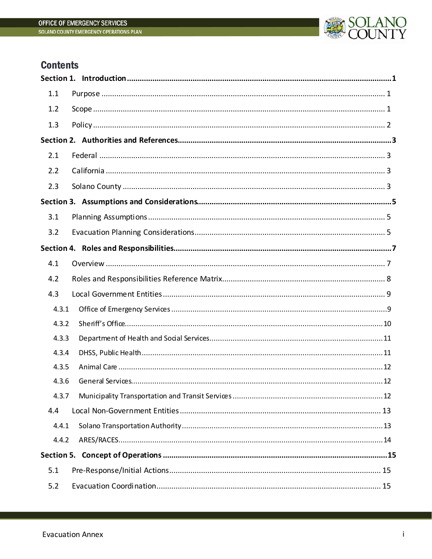

#### **Contents**

| 1.1   |  |
|-------|--|
| 1.2   |  |
| 1.3   |  |
|       |  |
| 2.1   |  |
| 2.2   |  |
| 2.3   |  |
|       |  |
| 3.1   |  |
| 3.2   |  |
|       |  |
| 4.1   |  |
| 4.2   |  |
| 4.3   |  |
| 4.3.1 |  |
| 4.3.2 |  |
| 4.3.3 |  |
| 4.3.4 |  |
| 4.3.5 |  |
| 4.3.6 |  |
| 4.3.7 |  |
| 4.4   |  |
| 4.4.1 |  |
| 4.4.2 |  |
|       |  |
| 5.1   |  |
| 5.2   |  |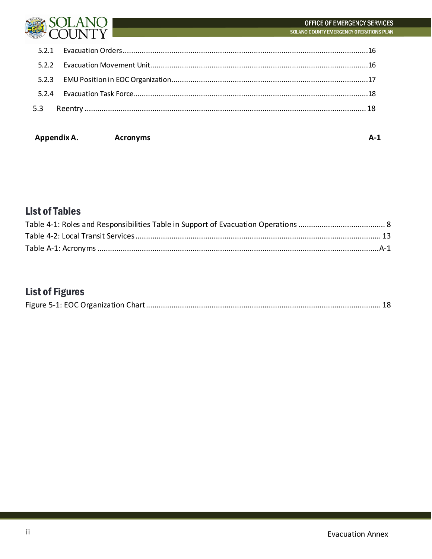

| Appendix A. | <b>Acronyms</b> |
|-------------|-----------------|
|             |                 |

 $A-1$ 

#### **List of Tables**

# **List of Figures**

|--|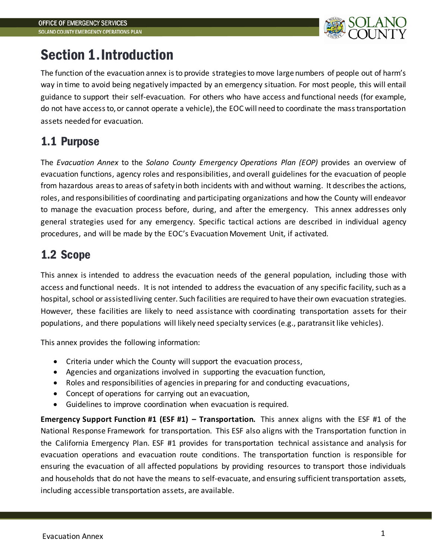

# <span id="page-4-0"></span>Section 1.Introduction

The function of the evacuation annex is to provide strategies to move large numbers of people out of harm's way in time to avoid being negatively impacted by an emergency situation. For most people, this will entail guidance to support their self-evacuation. For others who have access and functional needs (for example, do not have access to, or cannot operate a vehicle), the EOC will need to coordinate the mass transportation assets needed for evacuation.

### <span id="page-4-1"></span>1.1 Purpose

The *Evacuation Annex* to the *Solano County Emergency Operations Plan (EOP)* provides an overview of evacuation functions, agency roles and responsibilities, and overall guidelines for the evacuation of people from hazardous areas to areas of safetyin both incidents with and without warning. It describes the actions, roles, and responsibilities of coordinating and participating organizations and how the County will endeavor to manage the evacuation process before, during, and after the emergency. This annex addresses only general strategies used for any emergency. Specific tactical actions are described in individual agency procedures, and will be made by the EOC's Evacuation Movement Unit, if activated.

# <span id="page-4-2"></span>1.2 Scope

This annex is intended to address the evacuation needs of the general population, including those with access and functional needs. It is not intended to address the evacuation of any specific facility, such as a hospital, school or assisted living center. Such facilities are required to have their own evacuation strategies. However, these facilities are likely to need assistance with coordinating transportation assets for their populations, and there populations will likely need specialty services (e.g., paratransit like vehicles).

This annex provides the following information:

- Criteria under which the County will support the evacuation process,
- Agencies and organizations involved in supporting the evacuation function,
- Roles and responsibilities of agencies in preparing for and conducting evacuations,
- Concept of operations for carrying out an evacuation,
- Guidelines to improve coordination when evacuation is required.

**Emergency Support Function #1 (ESF #1) – Transportation.** This annex aligns with the ESF #1 of the National Response Framework for transportation. This ESF also aligns with the Transportation function in the California Emergency Plan. ESF #1 provides for transportation technical assistance and analysis for evacuation operations and evacuation route conditions. The transportation function is responsible for ensuring the evacuation of all affected populations by providing resources to transport those individuals and households that do not have the means to self-evacuate, and ensuring sufficient transportation assets, including accessible transportation assets, are available.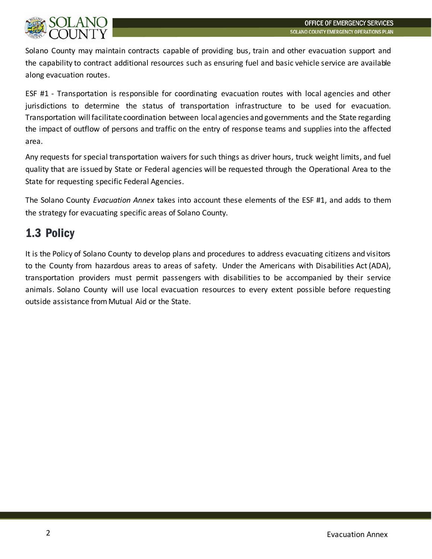

Solano County may maintain contracts capable of providing bus, train and other evacuation support and the capability to contract additional resources such as ensuring fuel and basic vehicle service are available along evacuation routes.

ESF #1 - Transportation is responsible for coordinating evacuation routes with local agencies and other jurisdictions to determine the status of transportation infrastructure to be used for evacuation. Transportation will facilitate coordination between local agencies and governments and the State regarding the impact of outflow of persons and traffic on the entry of response teams and supplies into the affected area.

Any requests for special transportation waivers for such things as driver hours, truck weight limits, and fuel quality that are issued by State or Federal agencies will be requested through the Operational Area to the State for requesting specific Federal Agencies.

The Solano County *Evacuation Annex* takes into account these elements of the ESF #1, and adds to them the strategy for evacuating specific areas of Solano County.

# <span id="page-5-0"></span>1.3 Policy

It is the Policy of Solano County to develop plans and procedures to address evacuating citizens and visitors to the County from hazardous areas to areas of safety. Under the Americans with Disabilities Act(ADA), transportation providers must permit passengers with disabilities to be accompanied by their service animals. Solano County will use local evacuation resources to every extent possible before requesting outside assistance from Mutual Aid or the State.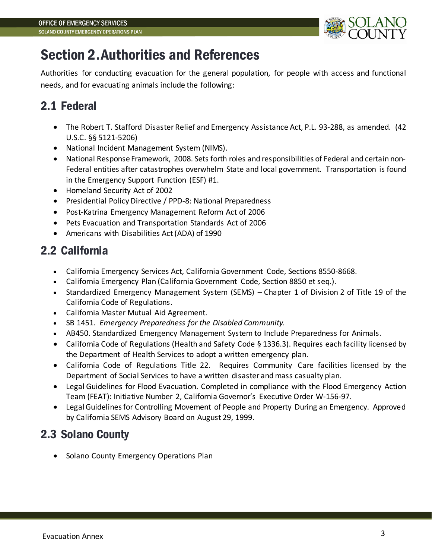

# <span id="page-6-0"></span>Section 2.Authorities and References

Authorities for conducting evacuation for the general population, for people with access and functional needs, and for evacuating animals include the following:

# <span id="page-6-1"></span>2.1 Federal

- The Robert T. Stafford Disaster Relief and Emergency Assistance Act, P.L. 93-288, as amended. (42 U.S.C. §§ 5121-5206)
- National Incident Management System (NIMS).
- National Response Framework, 2008. Sets forth roles and responsibilities of Federal and certain non-Federal entities after catastrophes overwhelm State and local government. Transportation is found in the Emergency Support Function (ESF) #1.
- Homeland Security Act of 2002
- Presidential Policy Directive / PPD-8: National Preparedness
- Post-Katrina Emergency Management Reform Act of 2006
- Pets Evacuation and Transportation Standards Act of 2006
- Americans with Disabilities Act (ADA) of 1990

# <span id="page-6-2"></span>2.2 California

- California Emergency Services Act, California Government Code, Sections 8550-8668.
- California Emergency Plan (California Government Code, Section 8850 et seq.).
- Standardized Emergency Management System (SEMS) Chapter 1 of Division 2 of Title 19 of the California Code of Regulations.
- California Master Mutual Aid Agreement.
- SB 1451. *Emergency Preparedness for the Disabled Community.*
- AB450. Standardized Emergency Management System to Include Preparedness for Animals.
- California Code of Regulations (Health and Safety Code § 1336.3). Requires each facility licensed by the Department of Health Services to adopt a written emergency plan.
- California Code of Regulations Title 22. Requires Community Care facilities licensed by the Department of Social Services to have a written disaster and mass casualty plan.
- Legal Guidelines for Flood Evacuation. Completed in compliance with the Flood Emergency Action Team (FEAT): Initiative Number 2, California Governor's Executive Order W-156-97.
- Legal Guidelines for Controlling Movement of People and Property During an Emergency. Approved by California SEMS Advisory Board on August 29, 1999.

# <span id="page-6-3"></span>2.3 Solano County

• Solano County Emergency Operations Plan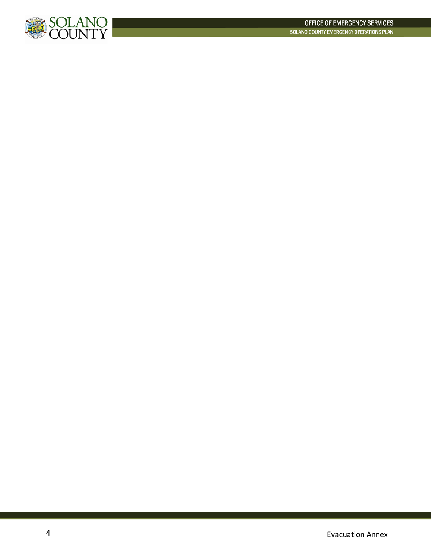

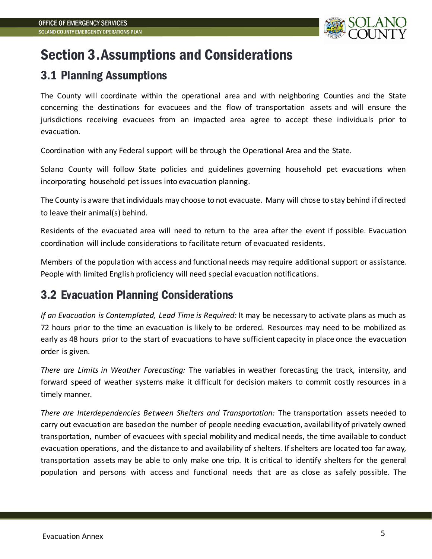

# <span id="page-8-0"></span>Section 3.Assumptions and Considerations

# <span id="page-8-1"></span>3.1 Planning Assumptions

The County will coordinate within the operational area and with neighboring Counties and the State concerning the destinations for evacuees and the flow of transportation assets and will ensure the jurisdictions receiving evacuees from an impacted area agree to accept these individuals prior to evacuation.

Coordination with any Federal support will be through the Operational Area and the State.

Solano County will follow State policies and guidelines governing household pet evacuations when incorporating household pet issues into evacuation planning.

The County is aware that individuals may choose to not evacuate. Many will chose to stay behind if directed to leave their animal(s) behind.

Residents of the evacuated area will need to return to the area after the event if possible. Evacuation coordination will include considerations to facilitate return of evacuated residents.

Members of the population with access and functional needs may require additional support or assistance. People with limited English proficiency will need special evacuation notifications.

### <span id="page-8-2"></span>3.2 Evacuation Planning Considerations

*If an Evacuation is Contemplated, Lead Time is Required:* It may be necessary to activate plans as much as 72 hours prior to the time an evacuation is likely to be ordered. Resources may need to be mobilized as early as 48 hours prior to the start of evacuations to have sufficient capacity in place once the evacuation order is given.

*There are Limits in Weather Forecasting:* The variables in weather forecasting the track, intensity, and forward speed of weather systems make it difficult for decision makers to commit costly resources in a timely manner.

*There are Interdependencies Between Shelters and Transportation:* The transportation assets needed to carry out evacuation are based on the number of people needing evacuation, availability of privately owned transportation, number of evacuees with special mobility and medical needs, the time available to conduct evacuation operations, and the distance to and availability of shelters. If shelters are located too far away, transportation assets may be able to only make one trip. It is critical to identify shelters for the general population and persons with access and functional needs that are as close as safely possible. The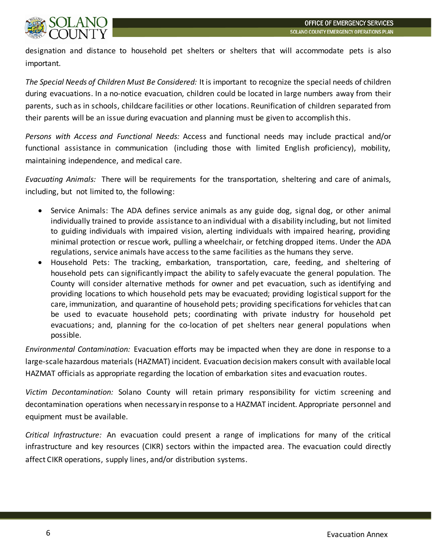

designation and distance to household pet shelters or shelters that will accommodate pets is also important.

*The Special Needs of Children Must Be Considered:* It is important to recognize the special needs of children during evacuations. In a no-notice evacuation, children could be located in large numbers away from their parents, such as in schools, childcare facilities or other locations. Reunification of children separated from their parents will be an issue during evacuation and planning must be given to accomplish this.

*Persons with Access and Functional Needs:* Access and functional needs may include practical and/or functional assistance in communication (including those with limited English proficiency), mobility, maintaining independence, and medical care.

*Evacuating Animals:* There will be requirements for the transportation, sheltering and care of animals, including, but not limited to, the following:

- Service Animals: The ADA defines service animals as any guide dog, signal dog, or other animal individually trained to provide assistance to an individual with a disability including, but not limited to guiding individuals with impaired vision, alerting individuals with impaired hearing, providing minimal protection or rescue work, pulling a wheelchair, or fetching dropped items. Under the ADA regulations, service animals have access to the same facilities as the humans they serve.
- Household Pets: The tracking, embarkation, transportation, care, feeding, and sheltering of household pets can significantly impact the ability to safely evacuate the general population. The County will consider alternative methods for owner and pet evacuation, such as identifying and providing locations to which household pets may be evacuated; providing logistical support for the care, immunization, and quarantine of household pets; providing specifications for vehicles that can be used to evacuate household pets; coordinating with private industry for household pet evacuations; and, planning for the co-location of pet shelters near general populations when possible.

*Environmental Contamination:* Evacuation efforts may be impacted when they are done in response to a large-scale hazardous materials (HAZMAT) incident. Evacuation decision makers consult with available local HAZMAT officials as appropriate regarding the location of embarkation sites and evacuation routes.

*Victim Decontamination:* Solano County will retain primary responsibility for victim screening and decontamination operations when necessary in response to a HAZMAT incident. Appropriate personnel and equipment must be available.

*Critical Infrastructure:* An evacuation could present a range of implications for many of the critical infrastructure and key resources (CIKR) sectors within the impacted area. The evacuation could directly affect CIKR operations, supply lines, and/or distribution systems.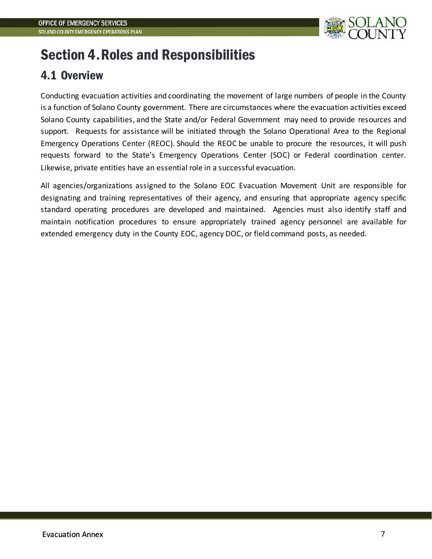

# <span id="page-10-0"></span>Section 4.Roles and Responsibilities

# <span id="page-10-1"></span>4.1 Overview

Conducting evacuation activities and coordinating the movement of large numbers of people in the County is a function of Solano County government. There are circumstances where the evacuation activities exceed Solano County capabilities, and the State and/or Federal Government may need to provide resources and support. Requests for assistance will be initiated through the Solano Operational Area to the Regional Emergency Operations Center (REOC). Should the REOC be unable to procure the resources, it will push requests forward to the State's Emergency Operations Center (SOC) or Federal coordination center. Likewise, private entities have an essential role in a successful evacuation.

All agencies/organizations assigned to the Solano EOC Evacuation Movement Unit are responsible for designating and training representatives of their agency, and ensuring that appropriate agency specific standard operating procedures are developed and maintained. Agencies must also identify staff and maintain notification procedures to ensure appropriately trained agency personnel are available for extended emergency duty in the County EOC, agency DOC, or field command posts, as needed.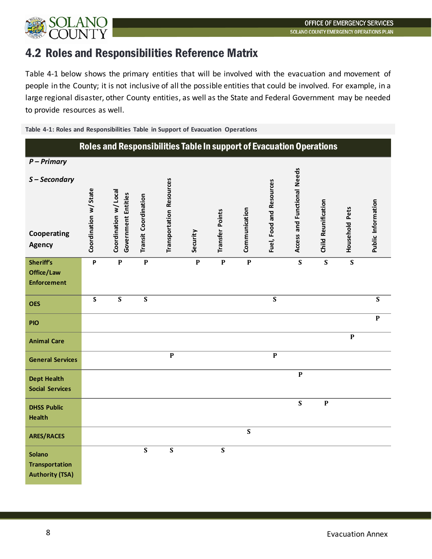

# <span id="page-11-0"></span>4.2 Roles and Responsibilities Reference Matrix

[Table](#page-11-1) 4-1 below shows the primary entities that will be involved with the evacuation and movement of people in the County; it is not inclusive of all the possible entities that could be involved. For example, in a large regional disaster, other County entities, as well as the State and Federal Government may be needed to provide resources as well.

<span id="page-11-1"></span>**Table 4-1: Roles and Responsibilities Table in Support of Evacuation Operations**

|                                                                  |                      | Roles and Responsibilities Table In support of Evacuation Operations |                             |                          |              |                        |               |                          |                             |                     |                |                    |
|------------------------------------------------------------------|----------------------|----------------------------------------------------------------------|-----------------------------|--------------------------|--------------|------------------------|---------------|--------------------------|-----------------------------|---------------------|----------------|--------------------|
| $P - Primary$                                                    |                      |                                                                      |                             |                          |              |                        |               |                          |                             |                     |                |                    |
| S-Secondary<br>Cooperating                                       | Coordination w/State | Coordination w/ Local<br>Government Entities                         | <b>Transit Coordination</b> | Transportation Resources | Security     | <b>Transfer Points</b> | Communication | Fuel, Food and Resources | Access and Functional Needs | Child Reunification | Household Pets | Public Information |
| <b>Agency</b>                                                    |                      |                                                                      |                             |                          |              |                        |               |                          |                             |                     |                |                    |
| Sheriff's<br>Office/Law<br><b>Enforcement</b>                    | P                    | $\mathbf{P}$                                                         | $\mathbf{P}$                |                          | $\mathbf{P}$ | $\mathbf{P}$           | $\mathbf{P}$  |                          | $\mathbf S$                 | $\mathbf S$         | S              |                    |
| <b>OES</b>                                                       | $\mathsf{s}$         | $\overline{s}$                                                       | $\overline{s}$              |                          |              |                        |               | $\overline{s}$           |                             |                     |                | $\overline{s}$     |
| <b>PIO</b>                                                       |                      |                                                                      |                             |                          |              |                        |               |                          |                             |                     |                | $\mathbf P$        |
| <b>Animal Care</b>                                               |                      |                                                                      |                             |                          |              |                        |               |                          |                             |                     | $\mathbf P$    |                    |
| <b>General Services</b>                                          |                      |                                                                      |                             | $\overline{P}$           |              |                        |               | $\overline{P}$           |                             |                     |                |                    |
| <b>Dept Health</b><br><b>Social Services</b>                     |                      |                                                                      |                             |                          |              |                        |               |                          | $\mathbf{P}$                |                     |                |                    |
| <b>DHSS Public</b><br><b>Health</b>                              |                      |                                                                      |                             |                          |              |                        |               |                          | $\mathbf S$                 | $\mathbf P$         |                |                    |
| <b>ARES/RACES</b>                                                |                      |                                                                      |                             |                          |              |                        | ${\bf S}$     |                          |                             |                     |                |                    |
| <b>Solano</b><br><b>Transportation</b><br><b>Authority (TSA)</b> |                      |                                                                      | $\mathbf S$                 | $\overline{s}$           |              | $\mathbf S$            |               |                          |                             |                     |                |                    |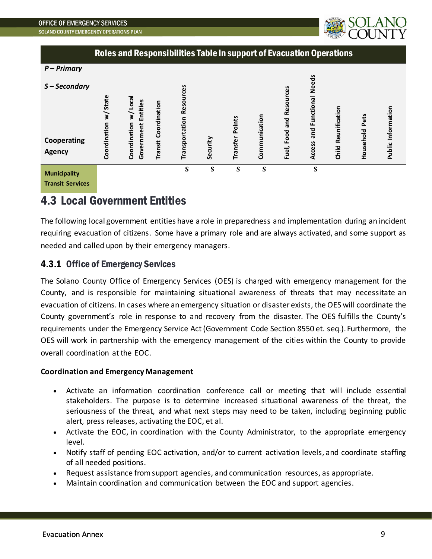



### <span id="page-12-0"></span>4.3 Local Government Entities

The following local government entities have a role in preparedness and implementation during an incident requiring evacuation of citizens. Some have a primary role and are always activated, and some support as needed and called upon by their emergency managers.

#### <span id="page-12-1"></span>4.3.1 Office of Emergency Services

The Solano County Office of Emergency Services (OES) is charged with emergency management for the County, and is responsible for maintaining situational awareness of threats that may necessitate an evacuation of citizens. In cases where an emergency situation or disaster exists, the OES will coordinate the County government's role in response to and recovery from the disaster. The OES fulfills the County's requirements under the Emergency Service Act (Government Code Section 8550 et. seq.). Furthermore, the OES will work in partnership with the emergency management of the cities within the County to provide overall coordination at the EOC.

#### **Coordination and Emergency Management**

- Activate an information coordination conference call or meeting that will include essential stakeholders. The purpose is to determine increased situational awareness of the threat, the seriousness of the threat, and what next steps may need to be taken, including beginning public alert, press releases, activating the EOC, et al.
- Activate the EOC, in coordination with the County Administrator, to the appropriate emergency level.
- Notify staff of pending EOC activation, and/or to current activation levels, and coordinate staffing of all needed positions.
- Request assistance from support agencies, and communication resources, as appropriate.
- Maintain coordination and communication between the EOC and support agencies.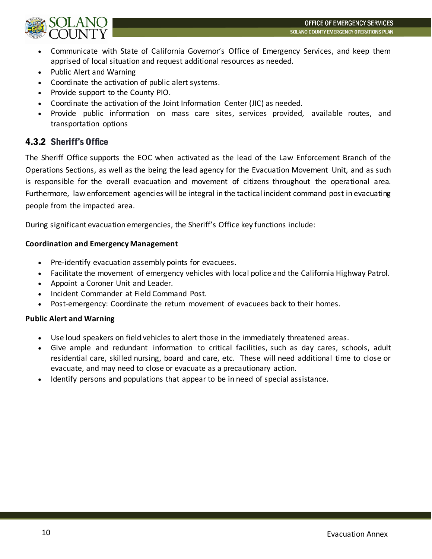

- Communicate with State of California Governor's Office of Emergency Services, and keep them apprised of local situation and request additional resources as needed.
- Public Alert and Warning
- Coordinate the activation of public alert systems.
- Provide support to the County PIO.
- Coordinate the activation of the Joint Information Center (JIC) as needed.
- Provide public information on mass care sites, services provided, available routes, and transportation options

#### <span id="page-13-0"></span>4.3.2 Sheriff's Office

The Sheriff Office supports the EOC when activated as the lead of the Law Enforcement Branch of the Operations Sections, as well as the being the lead agency for the Evacuation Movement Unit, and as such is responsible for the overall evacuation and movement of citizens throughout the operational area. Furthermore, law enforcement agencies will be integral in the tactical incident command post in evacuating people from the impacted area.

During significant evacuation emergencies, the Sheriff's Office key functions include:

#### **Coordination and Emergency Management**

- Pre-identify evacuation assembly points for evacuees.
- Facilitate the movement of emergency vehicles with local police and the California Highway Patrol.
- Appoint a Coroner Unit and Leader.
- Incident Commander at Field Command Post.
- Post-emergency: Coordinate the return movement of evacuees back to their homes.

#### **Public Alert and Warning**

- Use loud speakers on field vehicles to alert those in the immediately threatened areas.
- Give ample and redundant information to critical facilities, such as day cares, schools, adult residential care, skilled nursing, board and care, etc. These will need additional time to close or evacuate, and may need to close or evacuate as a precautionary action.
- Identify persons and populations that appear to be in need of special assistance.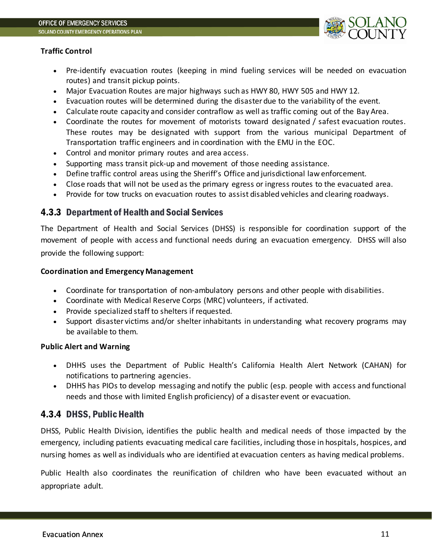

#### **Traffic Control**

- Pre-identify evacuation routes (keeping in mind fueling services will be needed on evacuation routes) and transit pickup points.
- Major Evacuation Routes are major highways such as HWY 80, HWY 505 and HWY 12.
- Evacuation routes will be determined during the disaster due to the variability of the event.
- Calculate route capacity and consider contraflow as well as traffic coming out of the Bay Area.
- Coordinate the routes for movement of motorists toward designated / safest evacuation routes. These routes may be designated with support from the various municipal Department of Transportation traffic engineers and in coordination with the EMU in the EOC.
- Control and monitor primary routes and area access.
- Supporting mass transit pick-up and movement of those needing assistance.
- Define traffic control areas using the Sheriff's Office and jurisdictional law enforcement.
- Close roads that will not be used as the primary egress or ingress routes to the evacuated area.
- Provide for tow trucks on evacuation routes to assist disabled vehicles and clearing roadways.

#### <span id="page-14-0"></span>4.3.3 Department of Health and Social Services

The Department of Health and Social Services (DHSS) is responsible for coordination support of the movement of people with access and functional needs during an evacuation emergency. DHSS will also provide the following support:

#### **Coordination and Emergency Management**

- Coordinate for transportation of non-ambulatory persons and other people with disabilities.
- Coordinate with Medical Reserve Corps (MRC) volunteers, if activated.
- Provide specialized staff to shelters if requested.
- Support disaster victims and/or shelter inhabitants in understanding what recovery programs may be available to them.

#### **Public Alert and Warning**

- DHHS uses the Department of Public Health's California Health Alert Network (CAHAN) for notifications to partnering agencies.
- DHHS has PIOs to develop messaging and notify the public (esp. people with access and functional needs and those with limited English proficiency) of a disaster event or evacuation.

#### <span id="page-14-1"></span>4.3.4 DHSS, Public Health

DHSS, Public Health Division, identifies the public health and medical needs of those impacted by the emergency, including patients evacuating medical care facilities, including those in hospitals, hospices, and nursing homes as well as individuals who are identified at evacuation centers as having medical problems.

Public Health also coordinates the reunification of children who have been evacuated without an appropriate adult.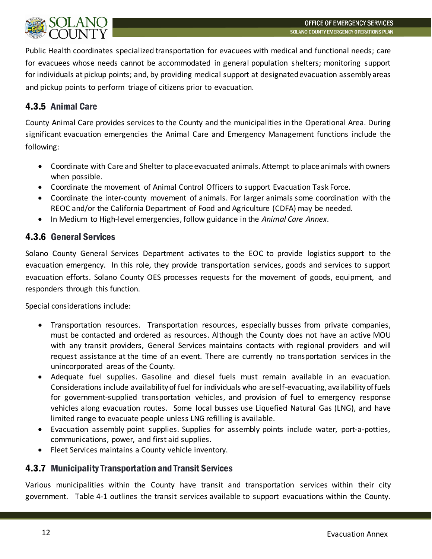

Public Health coordinates specialized transportation for evacuees with medical and functional needs; care for evacuees whose needs cannot be accommodated in general population shelters; monitoring support for individuals at pickup points; and, by providing medical support at designatedevacuation assemblyareas and pickup points to perform triage of citizens prior to evacuation.

#### <span id="page-15-0"></span>4.3.5 Animal Care

County Animal Care provides services to the County and the municipalities in the Operational Area. During significant evacuation emergencies the Animal Care and Emergency Management functions include the following:

- Coordinate with Care and Shelter to place evacuated animals. Attempt to place animals with owners when possible.
- Coordinate the movement of Animal Control Officers to support Evacuation Task Force.
- Coordinate the inter-county movement of animals. For larger animals some coordination with the REOC and/or the California Department of Food and Agriculture (CDFA) may be needed.
- In Medium to High-level emergencies, follow guidance in the *Animal Care Annex*.

#### <span id="page-15-1"></span>4.3.6 General Services

Solano County General Services Department activates to the EOC to provide logistics support to the evacuation emergency. In this role, they provide transportation services, goods and services to support evacuation efforts. Solano County OES processes requests for the movement of goods, equipment, and responders through this function.

Special considerations include:

- Transportation resources. Transportation resources, especially busses from private companies, must be contacted and ordered as resources. Although the County does not have an active MOU with any transit providers, General Services maintains contacts with regional providers and will request assistance at the time of an event. There are currently no transportation services in the unincorporated areas of the County.
- Adequate fuel supplies. Gasoline and diesel fuels must remain available in an evacuation. Considerations include availability of fuel for individuals who are self-evacuating, availability of fuels for government-supplied transportation vehicles, and provision of fuel to emergency response vehicles along evacuation routes. Some local busses use Liquefied Natural Gas (LNG), and have limited range to evacuate people unless LNG refilling is available.
- Evacuation assembly point supplies. Supplies for assembly points include water, port-a-potties, communications, power, and first aid supplies.
- Fleet Services maintains a County vehicle inventory.

#### <span id="page-15-2"></span>4.3.7 Municipality Transportation and Transit Services

Various municipalities within the County have transit and transportation services within their city government. [Table 4-1](#page-11-1) outlines the transit services available to support evacuations within the County.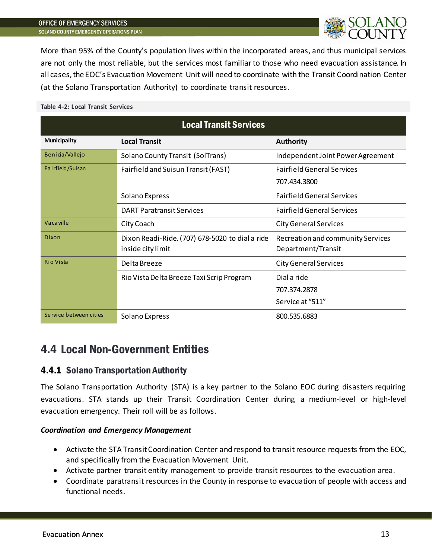

More than 95% of the County's population lives within the incorporated areas, and thus municipal services are not only the most reliable, but the services most familiar to those who need evacuation assistance. In all cases, the EOC's Evacuation Movement Unit will need to coordinate with the Transit Coordination Center (at the Solano Transportation Authority) to coordinate transit resources.

#### <span id="page-16-2"></span>**Table 4-2: Local Transit Services**

| <b>Local Transit Services</b> |                                                                          |                                   |  |  |  |  |
|-------------------------------|--------------------------------------------------------------------------|-----------------------------------|--|--|--|--|
| <b>Municipality</b>           | <b>Local Transit</b>                                                     | <b>Authority</b>                  |  |  |  |  |
| Benicia/Vallejo               | Solano County Transit (SolTrans)                                         | Independent Joint Power Agreement |  |  |  |  |
| Fairfield/Suisan              | Fairfield and Suisun Transit (FAST)<br><b>Fairfield General Services</b> |                                   |  |  |  |  |
|                               |                                                                          | 707.434.3800                      |  |  |  |  |
|                               | Solano Express                                                           | <b>Fairfield General Services</b> |  |  |  |  |
|                               | <b>DART Paratransit Services</b>                                         | <b>Fairfield General Services</b> |  |  |  |  |
| Va ca ville                   | City Coach                                                               | <b>City General Services</b>      |  |  |  |  |
| Dixon                         | Dixon Readi-Ride. (707) 678-5020 to dial a ride                          | Recreation and community Services |  |  |  |  |
|                               | inside city limit                                                        | Department/Transit                |  |  |  |  |
| <b>Rio Vista</b>              | Delta Breeze                                                             | <b>City General Services</b>      |  |  |  |  |
|                               | Rio Vista Delta Breeze Taxi Scrip Program                                | Dial a ride                       |  |  |  |  |
|                               |                                                                          | 707.374.2878                      |  |  |  |  |
|                               |                                                                          | Service at "511"                  |  |  |  |  |
| Service between cities        | Solano Express                                                           | 800.535.6883                      |  |  |  |  |

### <span id="page-16-0"></span>4.4 Local Non-Government Entities

#### <span id="page-16-1"></span>4.4.1 Solano Transportation Authority

The Solano Transportation Authority (STA) is a key partner to the Solano EOC during disasters requiring evacuations. STA stands up their Transit Coordination Center during a medium-level or high-level evacuation emergency. Their roll will be as follows.

#### *Coordination and Emergency Management*

- Activate the STA Transit Coordination Center and respond to transit resource requests from the EOC, and specifically from the Evacuation Movement Unit.
- Activate partner transit entity management to provide transit resources to the evacuation area.
- Coordinate paratransit resources in the County in response to evacuation of people with access and functional needs.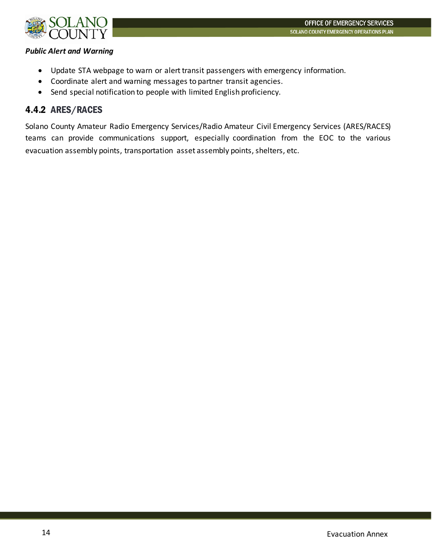

#### *Public Alert and Warning*

- Update STA webpage to warn or alert transit passengers with emergency information.
- Coordinate alert and warning messages to partner transit agencies.
- Send special notification to people with limited English proficiency.

#### <span id="page-17-0"></span>4.4.2 ARES/RACES

Solano County Amateur Radio Emergency Services/Radio Amateur Civil Emergency Services (ARES/RACES) teams can provide communications support, especially coordination from the EOC to the various evacuation assembly points, transportation asset assembly points, shelters, etc.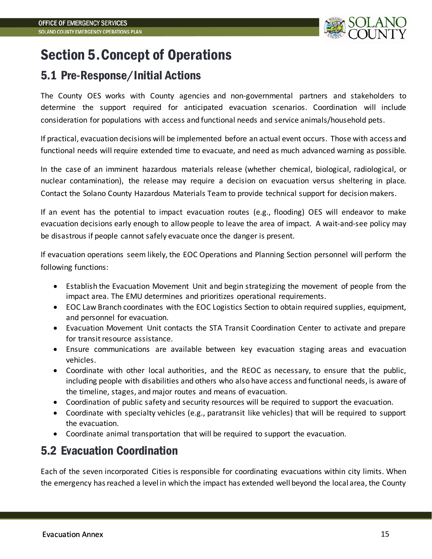

# <span id="page-18-0"></span>Section 5.Concept of Operations

## <span id="page-18-1"></span>5.1 Pre-Response/Initial Actions

The County OES works with County agencies and non-governmental partners and stakeholders to determine the support required for anticipated evacuation scenarios. Coordination will include consideration for populations with access and functional needs and service animals/household pets.

If practical, evacuation decisions will be implemented before an actual event occurs. Those with access and functional needs will require extended time to evacuate, and need as much advanced warning as possible.

In the case of an imminent hazardous materials release (whether chemical, biological, radiological, or nuclear contamination), the release may require a decision on evacuation versus sheltering in place. Contact the Solano County Hazardous Materials Team to provide technical support for decision makers.

If an event has the potential to impact evacuation routes (e.g., flooding) OES will endeavor to make evacuation decisions early enough to allow people to leave the area of impact. A wait-and-see policy may be disastrous if people cannot safely evacuate once the danger is present.

If evacuation operations seem likely, the EOC Operations and Planning Section personnel will perform the following functions:

- Establish the Evacuation Movement Unit and begin strategizing the movement of people from the impact area. The EMU determines and prioritizes operational requirements.
- EOC Law Branch coordinates with the EOC Logistics Section to obtain required supplies, equipment, and personnel for evacuation.
- Evacuation Movement Unit contacts the STA Transit Coordination Center to activate and prepare for transit resource assistance.
- Ensure communications are available between key evacuation staging areas and evacuation vehicles.
- Coordinate with other local authorities, and the REOC as necessary, to ensure that the public, including people with disabilities and others who also have access and functional needs, is aware of the timeline, stages, and major routes and means of evacuation.
- Coordination of public safety and security resources will be required to support the evacuation.
- Coordinate with specialty vehicles (e.g., paratransit like vehicles) that will be required to support the evacuation.
- Coordinate animal transportation that will be required to support the evacuation.

# <span id="page-18-2"></span>5.2 Evacuation Coordination

Each of the seven incorporated Cities is responsible for coordinating evacuations within city limits. When the emergency has reached a level in which the impact has extended well beyond the local area, the County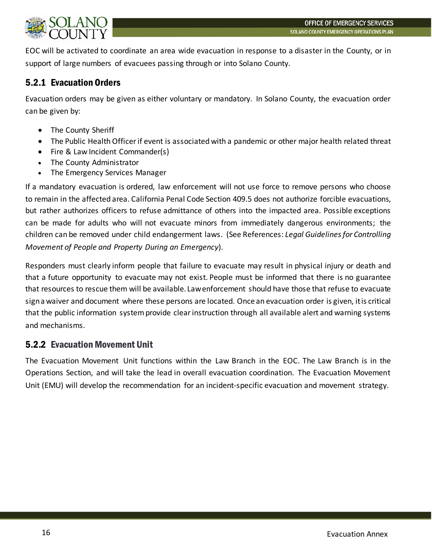

EOC will be activated to coordinate an area wide evacuation in response to a disaster in the County, or in support of large numbers of evacuees passing through or into Solano County.

#### <span id="page-19-0"></span>5.2.1 Evacuation Orders

Evacuation orders may be given as either voluntary or mandatory. In Solano County, the evacuation order can be given by:

- The County Sheriff
- The Public Health Officer if event is associated with a pandemic or other major health related threat
- Fire & Law Incident Commander(s)
- The County Administrator
- The Emergency Services Manager

If a mandatory evacuation is ordered, law enforcement will not use force to remove persons who choose to remain in the affected area. California Penal Code Section 409.5 does not authorize forcible evacuations, but rather authorizes officers to refuse admittance of others into the impacted area. Possible exceptions can be made for adults who will not evacuate minors from immediately dangerous environments; the children can be removed under child endangerment laws. (See References: *Legal Guidelines for Controlling Movement of People and Property During an Emergency*).

Responders must clearly inform people that failure to evacuate may result in physical injury or death and that a future opportunity to evacuate may not exist. People must be informed that there is no guarantee that resources to rescue them will be available. Law enforcement should have those that refuse to evacuate sign a waiver and document where these persons are located. Once an evacuation order is given, it is critical that the public information system provide clear instruction through all available alert and warning systems and mechanisms.

#### <span id="page-19-1"></span>5.2.2 Evacuation Movement Unit

The Evacuation Movement Unit functions within the Law Branch in the EOC. The Law Branch is in the Operations Section, and will take the lead in overall evacuation coordination. The Evacuation Movement Unit (EMU) will develop the recommendation for an incident-specific evacuation and movement strategy.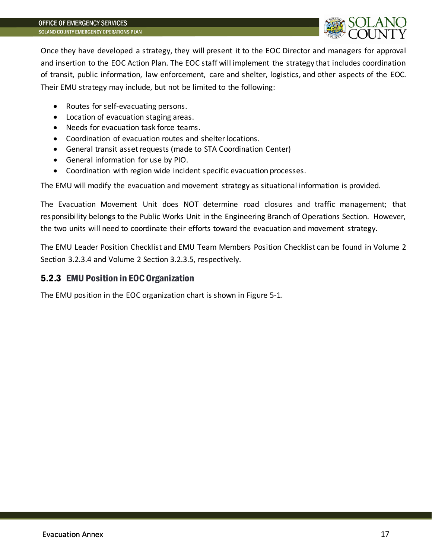

Once they have developed a strategy, they will present it to the EOC Director and managers for approval and insertion to the EOC Action Plan. The EOC staff will implement the strategy that includes coordination of transit, public information, law enforcement, care and shelter, logistics, and other aspects of the EOC. Their EMU strategy may include, but not be limited to the following:

- Routes for self-evacuating persons.
- Location of evacuation staging areas.
- Needs for evacuation task force teams.
- Coordination of evacuation routes and shelter locations.
- General transit asset requests (made to STA Coordination Center)
- General information for use by PIO.
- Coordination with region wide incident specific evacuation processes.

The EMU will modify the evacuation and movement strategy as situational information is provided.

The Evacuation Movement Unit does NOT determine road closures and traffic management; that responsibility belongs to the Public Works Unit in the Engineering Branch of Operations Section. However, the two units will need to coordinate their efforts toward the evacuation and movement strategy.

The EMU Leader Position Checklist and EMU Team Members Position Checklist can be found in Volume 2 Section 3.2.3.4 and Volume 2 Section 3.2.3.5, respectively.

#### <span id="page-20-0"></span>5.2.3 EMU Position in EOC Organization

The EMU position in the EOC organization chart is shown in [Figure 5-1.](#page-21-2)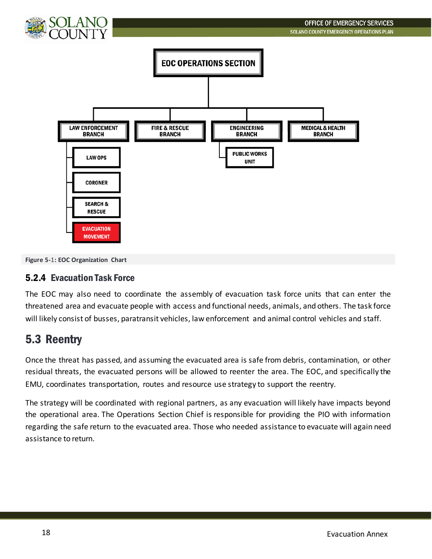



<span id="page-21-2"></span>**Figure 5-**1**: EOC Organization Chart**

#### <span id="page-21-0"></span>5.2.4 Evacuation Task Force

The EOC may also need to coordinate the assembly of evacuation task force units that can enter the threatened area and evacuate people with access and functional needs, animals, and others. The task force will likely consist of busses, paratransit vehicles, law enforcement and animal control vehicles and staff.

### <span id="page-21-1"></span>5.3 Reentry

Once the threat has passed, and assuming the evacuated area is safe from debris, contamination, or other residual threats, the evacuated persons will be allowed to reenter the area. The EOC, and specifically the EMU, coordinates transportation, routes and resource use strategy to support the reentry.

The strategy will be coordinated with regional partners, as any evacuation will likely have impacts beyond the operational area. The Operations Section Chief is responsible for providing the PIO with information regarding the safe return to the evacuated area. Those who needed assistance to evacuate will again need assistance to return.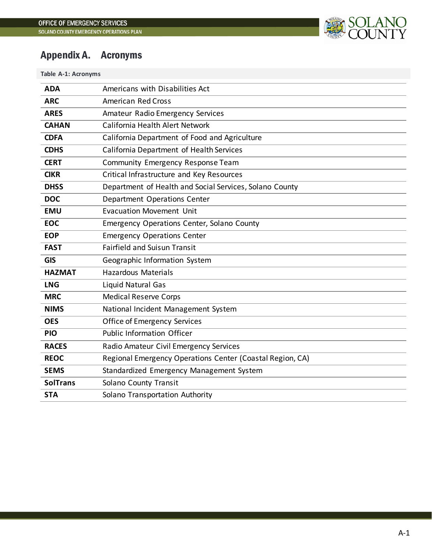

### <span id="page-22-0"></span>Appendix A. Acronyms

<span id="page-22-1"></span>**Table A-1: Acronyms**

| <b>ADA</b>      | Americans with Disabilities Act                           |
|-----------------|-----------------------------------------------------------|
| <b>ARC</b>      | <b>American Red Cross</b>                                 |
| <b>ARES</b>     | <b>Amateur Radio Emergency Services</b>                   |
| <b>CAHAN</b>    | California Health Alert Network                           |
| <b>CDFA</b>     | California Department of Food and Agriculture             |
| <b>CDHS</b>     | California Department of Health Services                  |
| <b>CERT</b>     | Community Emergency Response Team                         |
| <b>CIKR</b>     | Critical Infrastructure and Key Resources                 |
| <b>DHSS</b>     | Department of Health and Social Services, Solano County   |
| <b>DOC</b>      | Department Operations Center                              |
| <b>EMU</b>      | <b>Evacuation Movement Unit</b>                           |
| <b>EOC</b>      | Emergency Operations Center, Solano County                |
| <b>EOP</b>      | <b>Emergency Operations Center</b>                        |
| <b>FAST</b>     | <b>Fairfield and Suisun Transit</b>                       |
| <b>GIS</b>      | Geographic Information System                             |
| <b>HAZMAT</b>   | <b>Hazardous Materials</b>                                |
| <b>LNG</b>      | Liquid Natural Gas                                        |
| <b>MRC</b>      | <b>Medical Reserve Corps</b>                              |
| <b>NIMS</b>     | National Incident Management System                       |
| <b>OES</b>      | Office of Emergency Services                              |
| <b>PIO</b>      | <b>Public Information Officer</b>                         |
| <b>RACES</b>    | Radio Amateur Civil Emergency Services                    |
| <b>REOC</b>     | Regional Emergency Operations Center (Coastal Region, CA) |
| <b>SEMS</b>     | Standardized Emergency Management System                  |
| <b>SolTrans</b> | Solano County Transit                                     |
| <b>STA</b>      | Solano Transportation Authority                           |